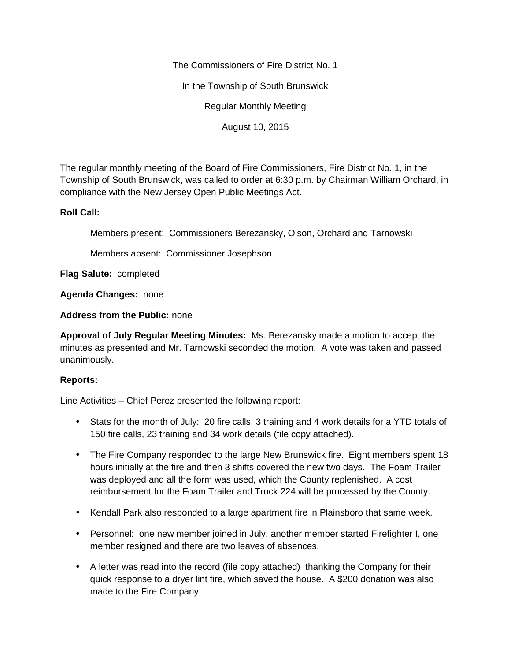The Commissioners of Fire District No. 1

In the Township of South Brunswick

Regular Monthly Meeting

August 10, 2015

The regular monthly meeting of the Board of Fire Commissioners, Fire District No. 1, in the Township of South Brunswick, was called to order at 6:30 p.m. by Chairman William Orchard, in compliance with the New Jersey Open Public Meetings Act.

## **Roll Call:**

Members present: Commissioners Berezansky, Olson, Orchard and Tarnowski

Members absent: Commissioner Josephson

**Flag Salute:** completed

**Agenda Changes:** none

**Address from the Public:** none

**Approval of July Regular Meeting Minutes:** Ms. Berezansky made a motion to accept the minutes as presented and Mr. Tarnowski seconded the motion. A vote was taken and passed unanimously.

## **Reports:**

Line Activities – Chief Perez presented the following report:

- Stats for the month of July: 20 fire calls, 3 training and 4 work details for a YTD totals of 150 fire calls, 23 training and 34 work details (file copy attached).
- The Fire Company responded to the large New Brunswick fire. Eight members spent 18 hours initially at the fire and then 3 shifts covered the new two days. The Foam Trailer was deployed and all the form was used, which the County replenished. A cost reimbursement for the Foam Trailer and Truck 224 will be processed by the County.
- Kendall Park also responded to a large apartment fire in Plainsboro that same week.
- Personnel: one new member joined in July, another member started Firefighter I, one member resigned and there are two leaves of absences.
- A letter was read into the record (file copy attached) thanking the Company for their quick response to a dryer lint fire, which saved the house. A \$200 donation was also made to the Fire Company.